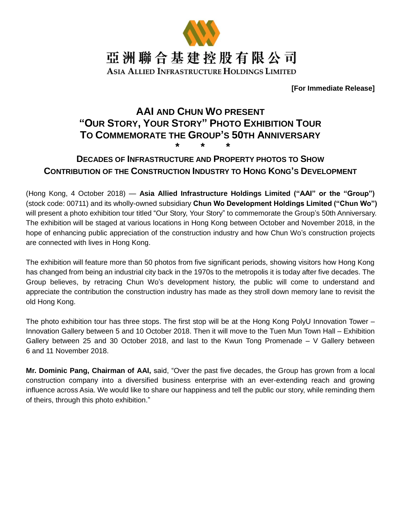

**[For Immediate Release]**

# **AAI AND CHUN WO PRESENT "OUR STORY, YOUR STORY" PHOTO EXHIBITION TOUR TO COMMEMORATE THE GROUP'S 50TH ANNIVERSARY \* \* \***

# **DECADES OF INFRASTRUCTURE AND PROPERTY PHOTOS TO SHOW CONTRIBUTION OF THE CONSTRUCTION INDUSTRY TO HONG KONG'S DEVELOPMENT**

(Hong Kong, 4 October 2018) — **Asia Allied Infrastructure Holdings Limited ("AAI" or the "Group")** (stock code: 00711) and its wholly-owned subsidiary **Chun Wo Development Holdings Limited ("Chun Wo")** will present a photo exhibition tour titled "Our Story, Your Story" to commemorate the Group's 50th Anniversary. The exhibition will be staged at various locations in Hong Kong between October and November 2018, in the hope of enhancing public appreciation of the construction industry and how Chun Wo's construction projects are connected with lives in Hong Kong.

The exhibition will feature more than 50 photos from five significant periods, showing visitors how Hong Kong has changed from being an industrial city back in the 1970s to the metropolis it is today after five decades. The Group believes, by retracing Chun Wo's development history, the public will come to understand and appreciate the contribution the construction industry has made as they stroll down memory lane to revisit the old Hong Kong.

The photo exhibition tour has three stops. The first stop will be at the Hong Kong PolyU Innovation Tower – Innovation Gallery between 5 and 10 October 2018. Then it will move to the Tuen Mun Town Hall – Exhibition Gallery between 25 and 30 October 2018, and last to the Kwun Tong Promenade  $-$  V Gallery between 6 and 11 November 2018.

**Mr. Dominic Pang, Chairman of AAI,** said, "Over the past five decades, the Group has grown from a local construction company into a diversified business enterprise with an ever-extending reach and growing influence across Asia. We would like to share our happiness and tell the public our story, while reminding them of theirs, through this photo exhibition."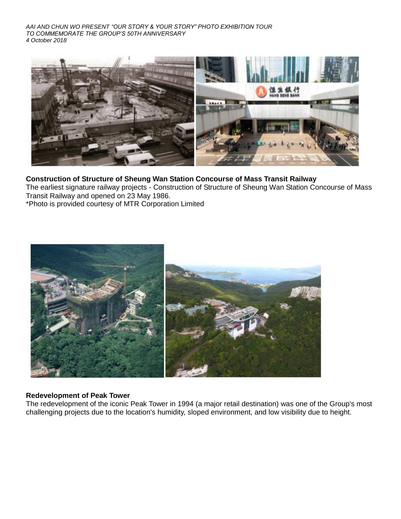*AAI AND CHUN WO PRESENT "OUR STORY & YOUR STORY" PHOTO EXHIBITION TOUR TO COMMEMORATE THE GROUP'S 50TH ANNIVERSARY 4 October 2018*



## **Construction of Structure of Sheung Wan Station Concourse of Mass Transit Railway**

The earliest signature railway projects - Construction of Structure of Sheung Wan Station Concourse of Mass Transit Railway and opened on 23 May 1986.

\*Photo is provided courtesy of MTR Corporation Limited



### **Redevelopment of Peak Tower**

The redevelopment of the iconic Peak Tower in 1994 (a major retail destination) was one of the Group's most challenging projects due to the location's humidity, sloped environment, and low visibility due to height.